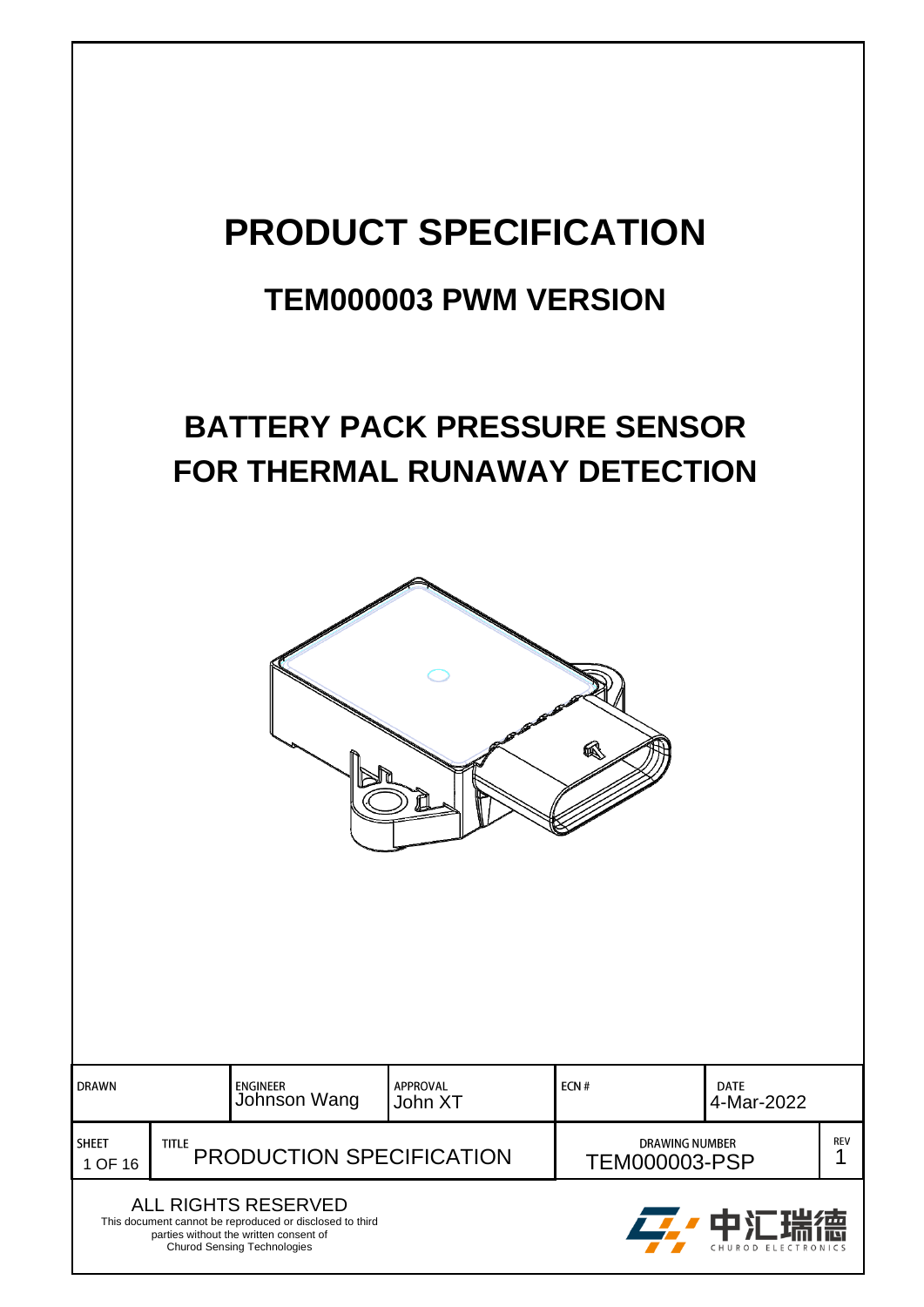# **PRODUCT SPECIFICATION**

## **TEM000003 PWM VERSION**

## **BATTERY PACK PRESSURE SENSOR FOR THERMAL RUNAWAY DETECTION**



| <b>DRAWN</b>            |                                          | <b>APPROVAL</b><br>ENGINEER<br>Johnson Wang<br>John XT                                                                                                          |  | ECN#                                          | <b>DATE</b><br>4-Mar-2022 |            |
|-------------------------|------------------------------------------|-----------------------------------------------------------------------------------------------------------------------------------------------------------------|--|-----------------------------------------------|---------------------------|------------|
| <b>SHEET</b><br>1 OF 16 | <b>TITLE</b><br>PRODUCTION SPECIFICATION |                                                                                                                                                                 |  | <b>DRAWING NUMBER</b><br><b>TEM000003-PSP</b> |                           | <b>REV</b> |
|                         |                                          | ALL RIGHTS RESERVED<br>This document cannot be reproduced or disclosed to third<br>parties without the written consent of<br><b>Churod Sensing Technologies</b> |  | 2. 中汇瑞德<br>CHUROD ELECTRONICS                 |                           |            |

Churod Sensing Technologies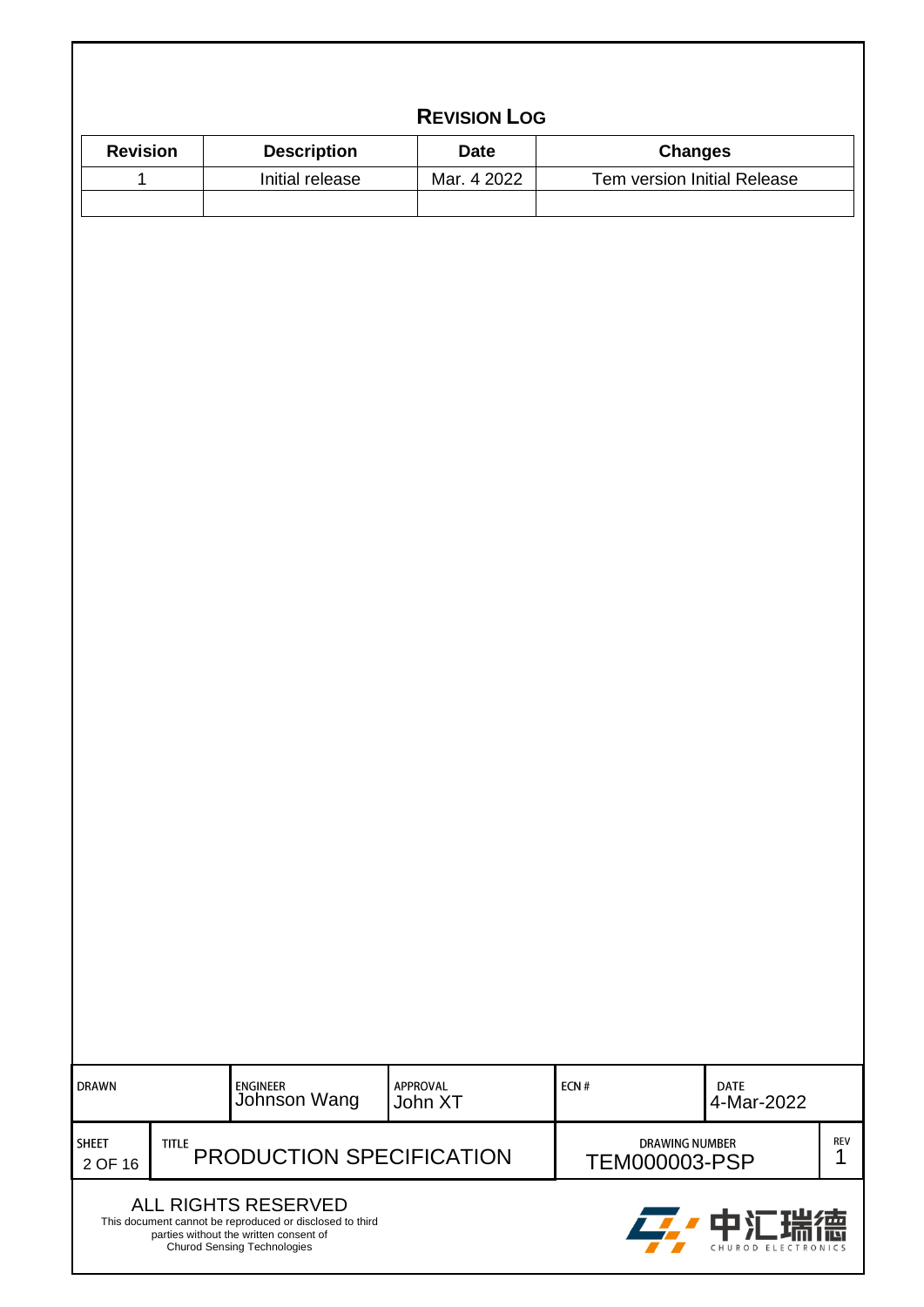| <b>Revision</b>                         | <b>Description</b>              | <b>Date</b>         |      | <b>Changes</b>                                |  |
|-----------------------------------------|---------------------------------|---------------------|------|-----------------------------------------------|--|
| $\mathbf 1$                             | Initial release                 | Mar. 4 2022         |      | Tem version Initial Release                   |  |
|                                         |                                 |                     |      |                                               |  |
|                                         |                                 |                     |      |                                               |  |
|                                         |                                 |                     |      |                                               |  |
|                                         |                                 |                     |      |                                               |  |
|                                         |                                 |                     |      |                                               |  |
|                                         |                                 |                     |      |                                               |  |
|                                         |                                 |                     |      |                                               |  |
|                                         |                                 |                     |      |                                               |  |
|                                         |                                 |                     |      |                                               |  |
|                                         |                                 |                     |      |                                               |  |
|                                         |                                 |                     |      |                                               |  |
|                                         |                                 |                     |      |                                               |  |
|                                         |                                 |                     |      |                                               |  |
|                                         |                                 |                     |      |                                               |  |
|                                         |                                 |                     |      |                                               |  |
|                                         |                                 |                     |      |                                               |  |
|                                         |                                 |                     |      |                                               |  |
|                                         |                                 |                     |      |                                               |  |
|                                         |                                 |                     |      |                                               |  |
|                                         |                                 |                     |      |                                               |  |
|                                         |                                 |                     |      |                                               |  |
|                                         |                                 |                     |      |                                               |  |
|                                         |                                 |                     |      |                                               |  |
|                                         |                                 |                     |      |                                               |  |
|                                         |                                 |                     |      |                                               |  |
|                                         |                                 |                     |      |                                               |  |
|                                         |                                 |                     |      |                                               |  |
|                                         |                                 |                     |      |                                               |  |
|                                         |                                 |                     |      |                                               |  |
|                                         |                                 |                     |      |                                               |  |
| <b>DRAWN</b>                            | <b>ENGINEER</b><br>Johnson Wang | APPROVAL<br>John XT | ECN# | <b>DATE</b><br>4-Mar-2022                     |  |
|                                         |                                 |                     |      |                                               |  |
| <b>SHEET</b><br><b>TITLE</b><br>2 OF 16 | PRODUCTION SPECIFICATION        |                     |      | <b>DRAWING NUMBER</b><br><b>TEM000003-PSP</b> |  |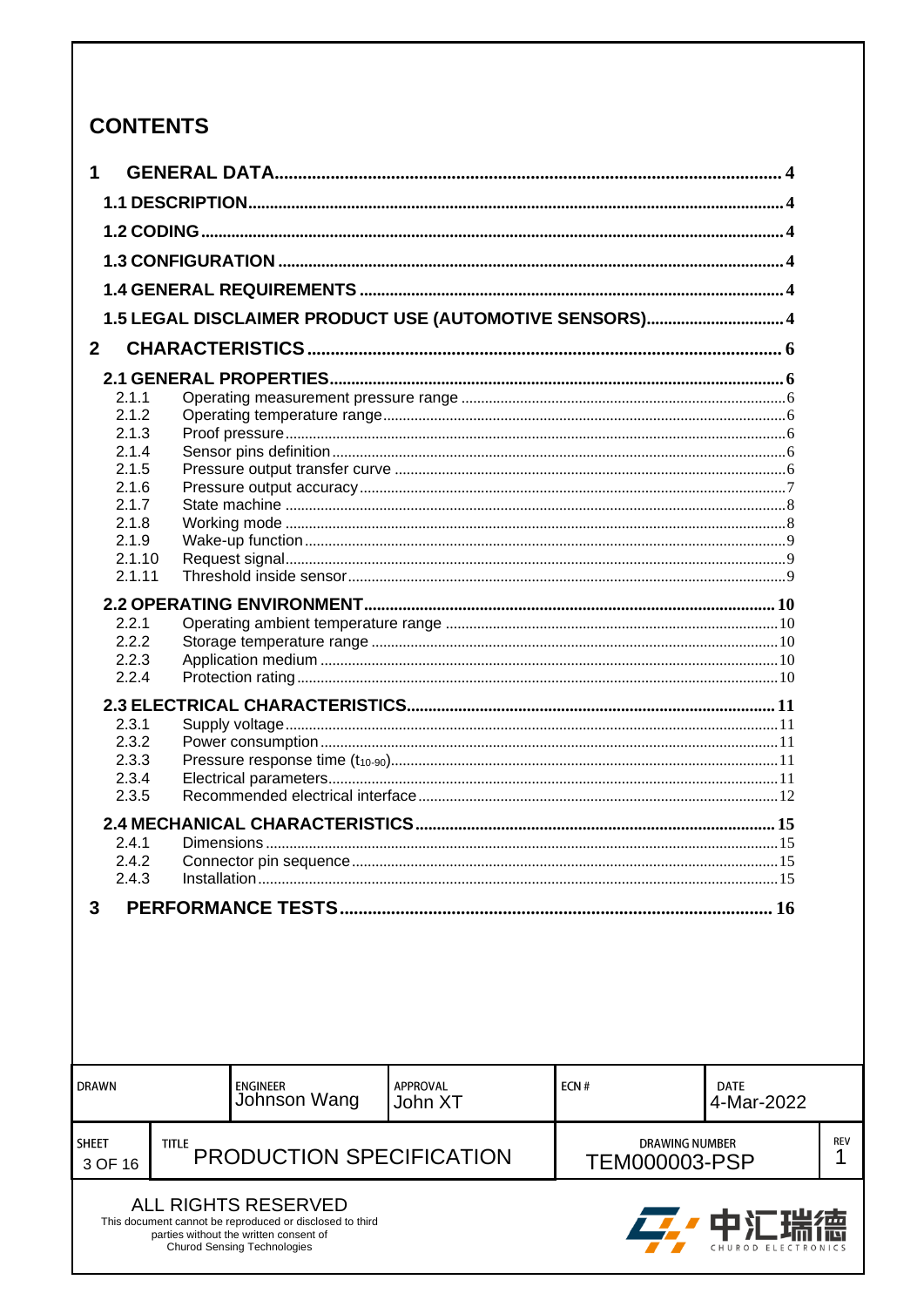## **CONTENTS**

| 1                |                                                                                                                                          |                            |      |                                               |                 |
|------------------|------------------------------------------------------------------------------------------------------------------------------------------|----------------------------|------|-----------------------------------------------|-----------------|
|                  |                                                                                                                                          |                            |      |                                               |                 |
|                  |                                                                                                                                          |                            |      |                                               |                 |
|                  |                                                                                                                                          |                            |      |                                               |                 |
|                  |                                                                                                                                          |                            |      |                                               |                 |
|                  | 1.5 LEGAL DISCLAIMER PRODUCT USE (AUTOMOTIVE SENSORS) 4                                                                                  |                            |      |                                               |                 |
| $\overline{2}$   |                                                                                                                                          |                            |      |                                               |                 |
|                  |                                                                                                                                          |                            |      |                                               |                 |
| 2.1.1            |                                                                                                                                          |                            |      |                                               |                 |
| 2.1.2<br>2.1.3   |                                                                                                                                          |                            |      |                                               |                 |
| 2.1.4            |                                                                                                                                          |                            |      |                                               |                 |
| 2.1.5            |                                                                                                                                          |                            |      |                                               |                 |
| 2.1.6            |                                                                                                                                          |                            |      |                                               |                 |
| 2.1.7            |                                                                                                                                          |                            |      |                                               |                 |
| 2.1.8            |                                                                                                                                          |                            |      |                                               |                 |
| 2.1.9            |                                                                                                                                          |                            |      |                                               |                 |
| 2.1.10           |                                                                                                                                          |                            |      |                                               |                 |
| 2.1.11           |                                                                                                                                          |                            |      |                                               |                 |
|                  |                                                                                                                                          |                            |      |                                               |                 |
| 2.2.1            |                                                                                                                                          |                            |      |                                               |                 |
| 2.2.2            |                                                                                                                                          |                            |      |                                               |                 |
| 2.2.3            |                                                                                                                                          |                            |      |                                               |                 |
| 2.2.4            |                                                                                                                                          |                            |      |                                               |                 |
|                  |                                                                                                                                          |                            |      |                                               |                 |
| 2.3.1            |                                                                                                                                          |                            |      |                                               |                 |
| 2.3.2            |                                                                                                                                          |                            |      |                                               |                 |
| 2.3.3            |                                                                                                                                          |                            |      |                                               |                 |
| 2.3.4            |                                                                                                                                          |                            |      |                                               |                 |
| 2.3.5            |                                                                                                                                          |                            |      |                                               |                 |
|                  |                                                                                                                                          |                            |      |                                               |                 |
| 2.4.1            |                                                                                                                                          |                            |      |                                               |                 |
| 2.4.2            |                                                                                                                                          |                            |      |                                               |                 |
| 2.4.3            |                                                                                                                                          |                            |      |                                               |                 |
| 3                |                                                                                                                                          |                            |      |                                               |                 |
|                  |                                                                                                                                          |                            |      |                                               |                 |
|                  |                                                                                                                                          |                            |      |                                               |                 |
| <b>DRAWN</b>     | <b>ENGINEER</b><br>Johnson Wang                                                                                                          | <b>APPROVAL</b><br>John XT | ECN# | <b>DATE</b><br>4-Mar-2022                     |                 |
| SHEET<br>3 OF 16 | TITLE<br>PRODUCTION SPECIFICATION                                                                                                        |                            |      | <b>DRAWING NUMBER</b><br><b>TEM000003-PSP</b> | <b>REV</b><br>1 |
|                  | <b>ALL RIGHTS RESERVED</b>                                                                                                               |                            |      |                                               |                 |
|                  | This document cannot be reproduced or disclosed to third<br>parties without the written consent of<br><b>Churod Sensing Technologies</b> |                            |      |                                               |                 |

 $\overset{\text{rev}}{\mathbf{1}}$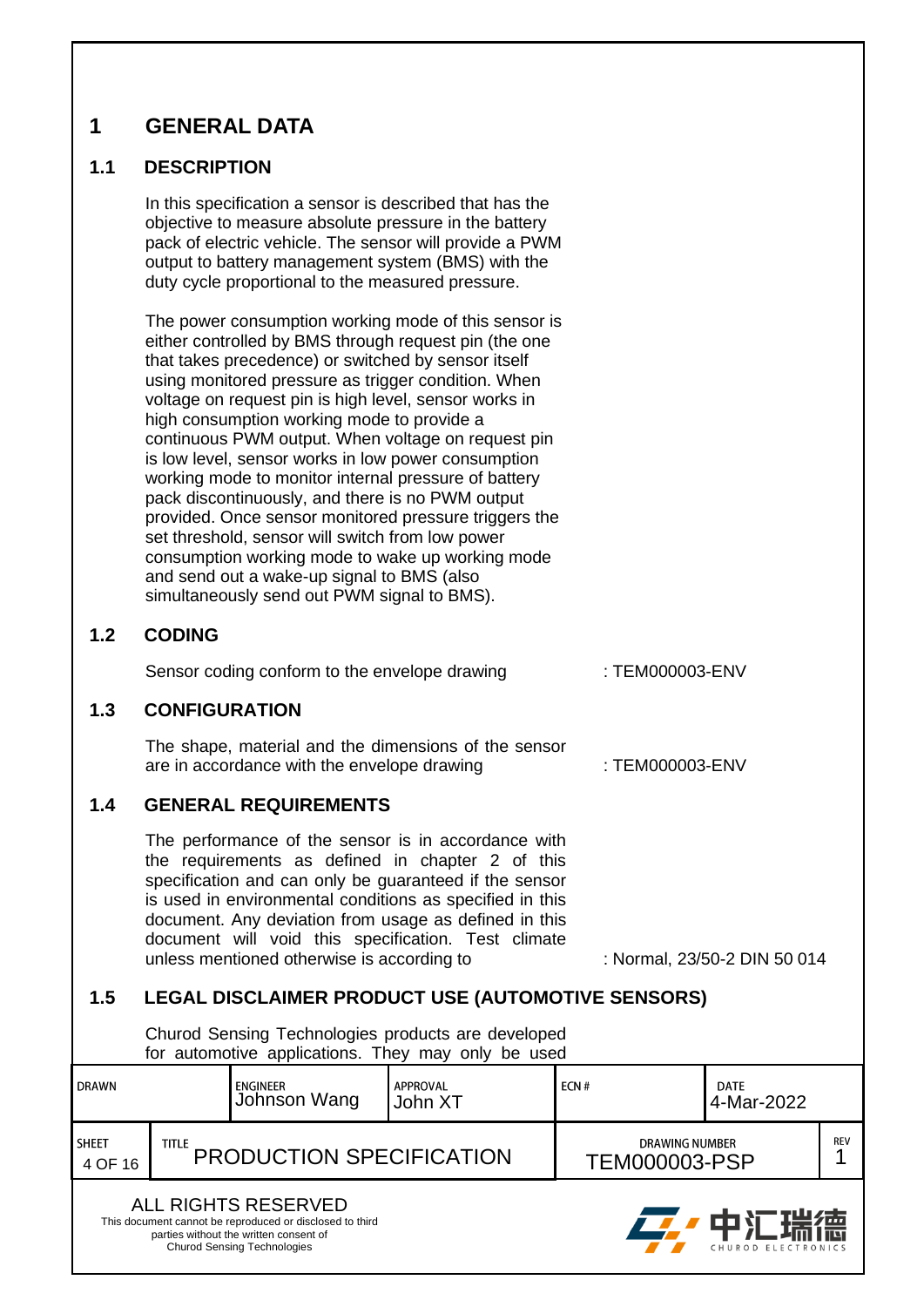### <span id="page-3-0"></span>**1 GENERAL DATA**

#### <span id="page-3-1"></span>**1.1 DESCRIPTION**

In this specification a sensor is described that has the objective to measure absolute pressure in the battery pack of electric vehicle. The sensor will provide a PWM output to battery management system (BMS) with the duty cycle proportional to the measured pressure.

The power consumption working mode of this sensor is either controlled by BMS through request pin (the one that takes precedence) or switched by sensor itself using monitored pressure as trigger condition. When voltage on request pin is high level, sensor works in high consumption working mode to provide a continuous PWM output. When voltage on request pin is low level, sensor works in low power consumption working mode to monitor internal pressure of battery pack discontinuously, and there is no PWM output provided. Once sensor monitored pressure triggers the set threshold, sensor will switch from low power consumption working mode to wake up working mode and send out a wake-up signal to BMS (also simultaneously send out PWM signal to BMS).

#### <span id="page-3-2"></span>**1.2 CODING**

Sensor coding conform to the envelope drawing : TEM000003-ENV

#### <span id="page-3-3"></span>**1.3 CONFIGURATION**

The shape, material and the dimensions of the sensor are in accordance with the envelope drawing  $\cdot$  TEM000003-ENV

#### <span id="page-3-4"></span>**1.4 GENERAL REQUIREMENTS**

The performance of the sensor is in accordance with the requirements as defined in chapter 2 of this specification and can only be guaranteed if the sensor is used in environmental conditions as specified in this document. Any deviation from usage as defined in this document will void this specification. Test climate unless mentioned otherwise is according to : Normal, 23/50-2 DIN 50 014

#### <span id="page-3-5"></span>**1.5 LEGAL DISCLAIMER PRODUCT USE (AUTOMOTIVE SENSORS)**

Churod Sensing Technologies products are developed for automotive applications. They may only be used

|                                                                                 | .                                               |                                   |  |                                               |      |            |  |
|---------------------------------------------------------------------------------|-------------------------------------------------|-----------------------------------|--|-----------------------------------------------|------|------------|--|
| DRAWN<br><b>APPROVAL</b><br>ENGINEER<br>Johnson Wang<br>John XT                 |                                                 | ECN#<br><b>DATE</b><br>4-Mar-2022 |  |                                               |      |            |  |
| <b>SHEET</b><br>4 OF 16                                                         | <b>TITLE</b><br><b>PRODUCTION SPECIFICATION</b> |                                   |  | <b>DRAWING NUMBER</b><br><b>TEM000003-PSP</b> |      | <b>REV</b> |  |
| ALL RIGHTS RESERVED<br>This document cannot be reproduced or disclosed to third |                                                 |                                   |  |                                               | 由汇理徳 |            |  |

parties without the written consent of Churod Sensing Technologies

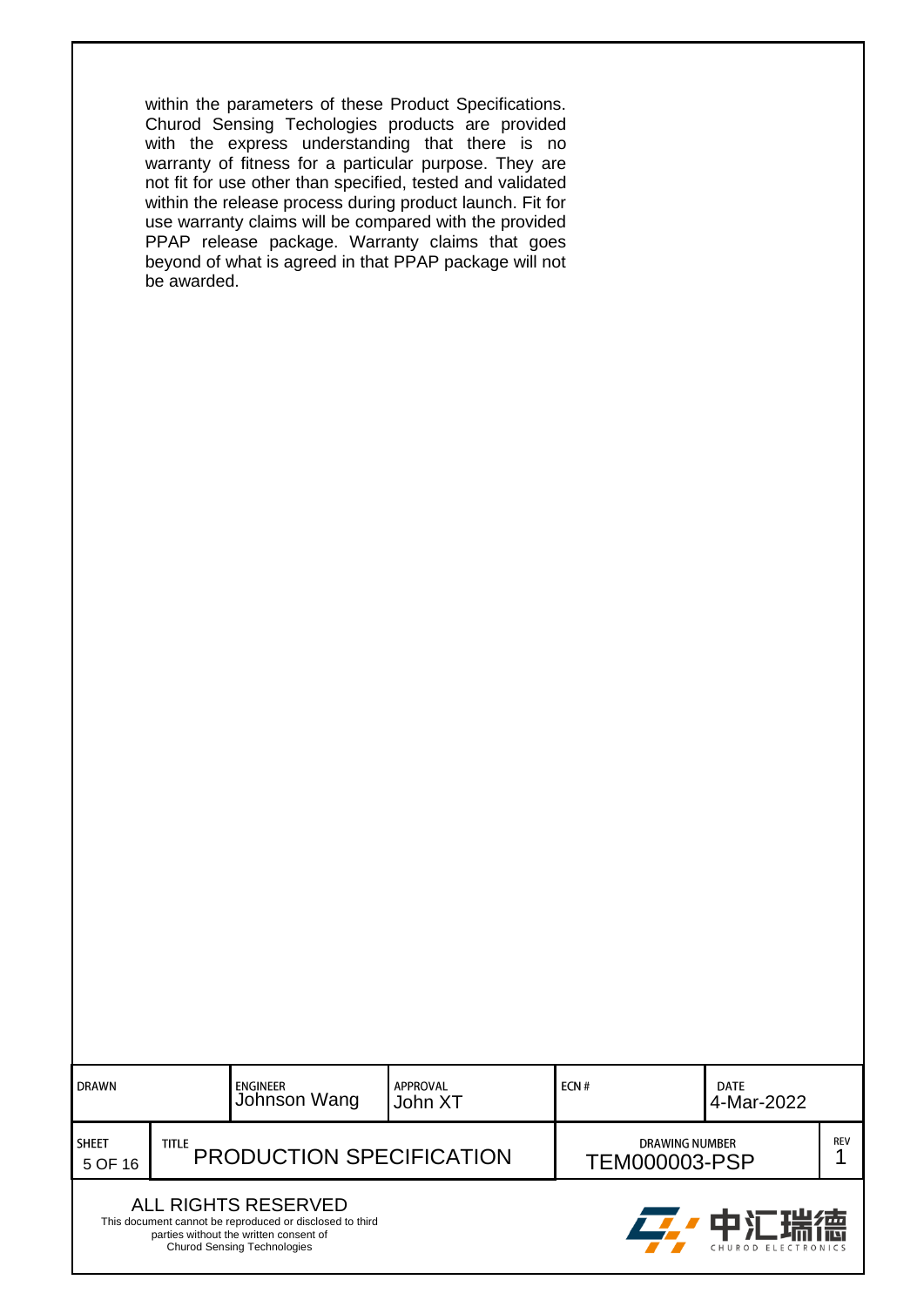within the parameters of these Product Specifications. Churod Sensing Techologies products are provided with the express understanding that there is no warranty of fitness for a particular purpose. They are not fit for use other than specified, tested and validated within the release process during product launch. Fit for use warranty claims will be compared with the provided PPAP release package. Warranty claims that goes beyond of what is agreed in that PPAP package will not be awarded.

| I DRAWN                                                                                                                                                                                                  |                                                 | <b>APPROVAL</b><br><b>ENGINEER</b><br>Johnson Wang<br>John XT |  | ECN#                                          | <b>DATE</b><br>4-Mar-2022 |            |
|----------------------------------------------------------------------------------------------------------------------------------------------------------------------------------------------------------|-------------------------------------------------|---------------------------------------------------------------|--|-----------------------------------------------|---------------------------|------------|
| <b>SHEET</b><br>5 OF 16                                                                                                                                                                                  | <b>TITLE</b><br><b>PRODUCTION SPECIFICATION</b> |                                                               |  | <b>DRAWING NUMBER</b><br><b>TEM000003-PSP</b> |                           | <b>REV</b> |
| <b>ALL RIGHTS RESERVED</b><br>22. 中汇瑞德<br>This document cannot be reproduced or disclosed to third<br>parties without the written consent of<br><b>Churod Sensing Technologies</b><br>CHUROD ELECTRONICS |                                                 |                                                               |  |                                               |                           |            |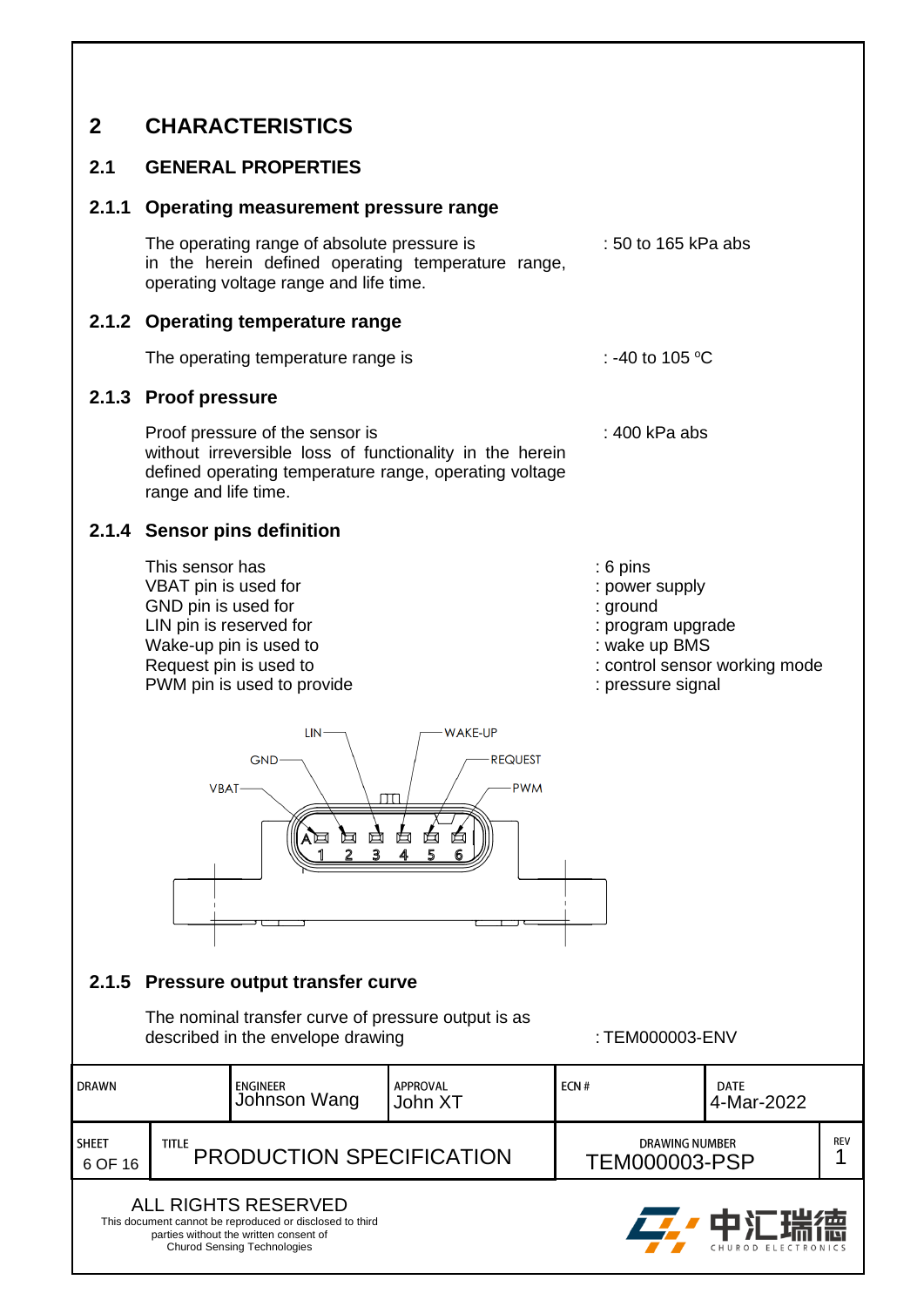### <span id="page-5-0"></span>**2 CHARACTERISTICS**

#### <span id="page-5-1"></span>**2.1 GENERAL PROPERTIES**

#### <span id="page-5-2"></span>**2.1.1 Operating measurement pressure range**

The operating range of absolute pressure is : 50 to 165 kPa abs in the herein defined operating temperature range, operating voltage range and life time.

#### <span id="page-5-3"></span>**2.1.2 Operating temperature range**

The operating temperature range is : -40 to 105  $^{\circ}$ C

#### <span id="page-5-4"></span>**2.1.3 Proof pressure**

Proof pressure of the sensor is : 400 kPa abs without irreversible loss of functionality in the herein defined operating temperature range, operating voltage range and life time.

#### <span id="page-5-5"></span>**2.1.4 Sensor pins definition**

- This sensor has  $\cdot$  6 pins VBAT pin is used for  $\blacksquare$ GND pin is used for  $\blacksquare$ : ground LIN pin is reserved for the state of the state of the state of the state of the state of the state of the state of the state of the state of the state of the state of the state of the state of the state of the state of the Wake-up pin is used to : wake up BMS<br>
Request pin is used to : control sensor PWM pin is used to provide : pressure signal
	-
	-
	-
	-
	-
	- : control sensor working mode
	-



#### <span id="page-5-6"></span>**2.1.5 Pressure output transfer curve**

The nominal transfer curve of pressure output is as described in the envelope drawing  $\cdot$  TEM000003-ENV

十 儿 瑞

CHUROD ELECT

liei

| <b>DRAWN</b>            |                                           | <b>ENGINEER</b><br>Johnson Wang | APPROVAL<br>John XT                           | ECN# | <b>DATE</b><br>4-Mar-2022 |  |
|-------------------------|-------------------------------------------|---------------------------------|-----------------------------------------------|------|---------------------------|--|
| <b>SHEET</b><br>6 OF 16 | title.<br><b>PRODUCTION SPECIFICATION</b> |                                 | <b>DRAWING NUMBER</b><br><b>TEM000003-PSP</b> |      | <b>REV</b>                |  |
| ALL RIGHTS RESERVED     |                                           |                                 |                                               |      |                           |  |

This document cannot be reproduced or disclosed to third parties without the written consent of Churod Sensing Technologies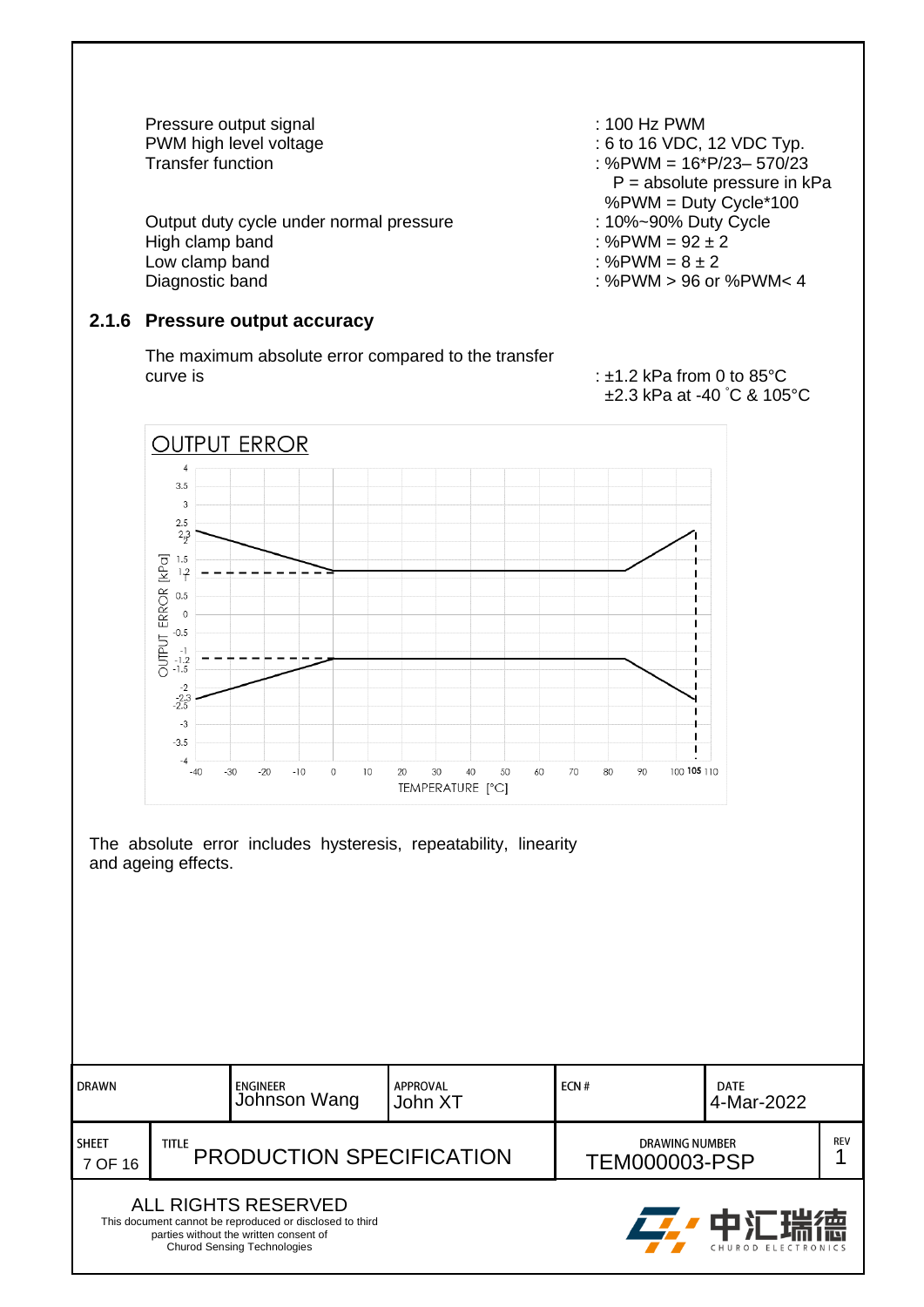Pressure output signal in the control of the set of the PWM PWM high level voltage in the control of the control of the control of the control of the control of the control of the control of the control of the control of t

Output duty cycle under normal pressure : 10%~90% Duty Cycle High clamp band  $\cdot$  %PWM = 92  $\pm$  2 Low clamp band  $\qquad \qquad : %PWM = 8 \pm 2$ <br>Diagnostic band  $\qquad \qquad : %PWM > 96$  or

#### <span id="page-6-0"></span>**2.1.6 Pressure output accuracy**

The maximum absolute error compared to the transfer curve is : ±1.2 kPa from 0 to 85°C

PWM high level voltage  $\begin{array}{c}\n\text{PWM high level voltage} \\
\text{PUM} = 16 \cdot \text{P/23} - 570/23\n\end{array}$  $: %$ PWM = 16\*P/23- 570/23  $P =$  absolute pressure in kPa %PWM = Duty Cycle\*100

: %PWM > 96 or %PWM< 4

## ±2.3 kPa at -40 °C & 105°C



| <b>DRAWN</b>            |                                          | APPROVAL<br>ENGINEER<br>Johnson Wang<br>John XT                                                                                                                        |                                        | ECN# | <b>DATE</b><br>4-Mar-2022            |  |
|-------------------------|------------------------------------------|------------------------------------------------------------------------------------------------------------------------------------------------------------------------|----------------------------------------|------|--------------------------------------|--|
| <b>SHEET</b><br>7 OF 16 | <b>TITLE</b><br>PRODUCTION SPECIFICATION |                                                                                                                                                                        | DRAWING NUMBER<br><b>TEM000003-PSP</b> |      | <b>REV</b>                           |  |
|                         |                                          | <b>ALL RIGHTS RESERVED</b><br>This document cannot be reproduced or disclosed to third<br>parties without the written consent of<br><b>Churod Sensing Technologies</b> |                                        |      | <b>Z</b> ,中汇瑞德<br>CHUROD ELECTRONICS |  |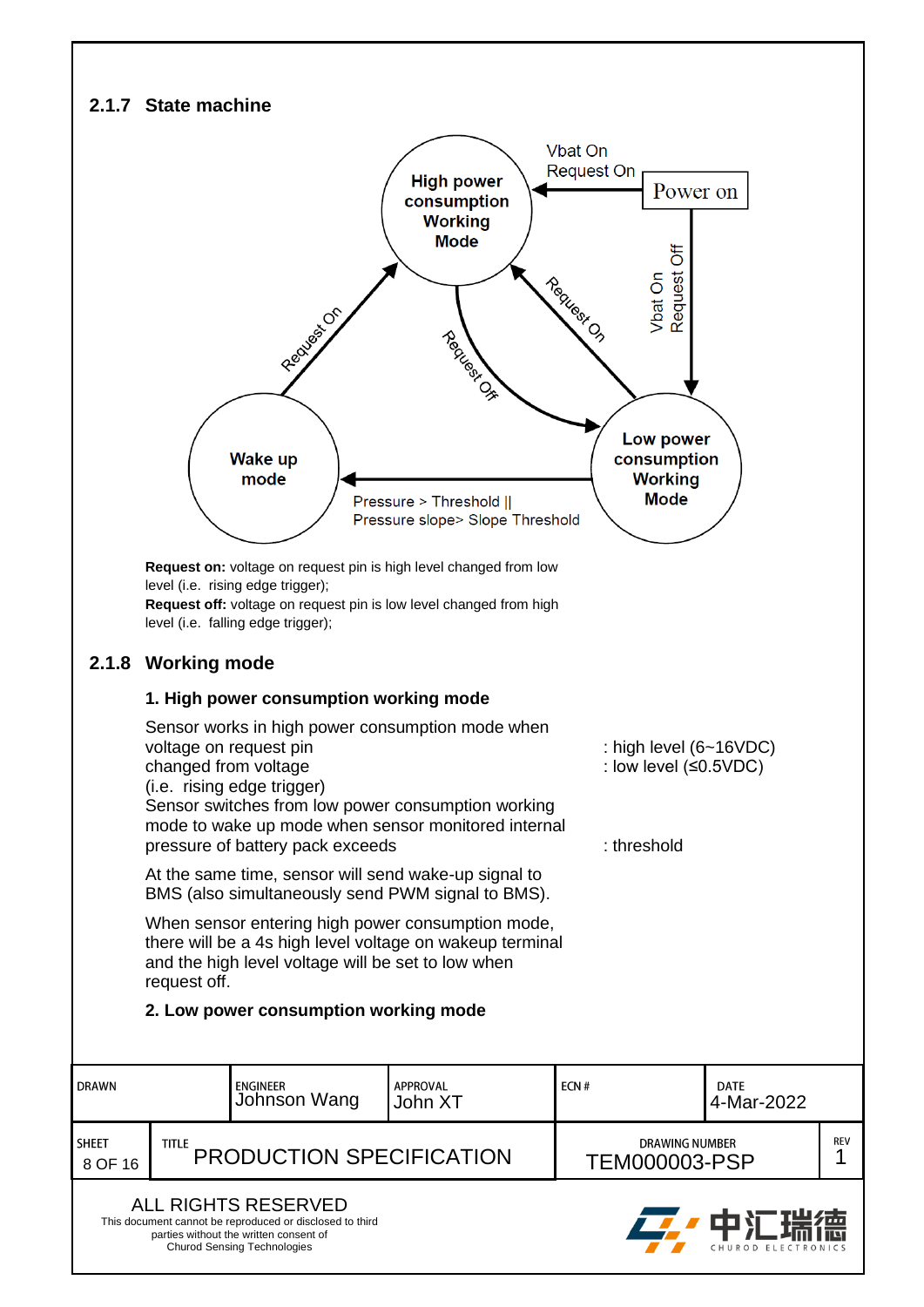#### <span id="page-7-0"></span>**2.1.7 State machine**

<span id="page-7-1"></span>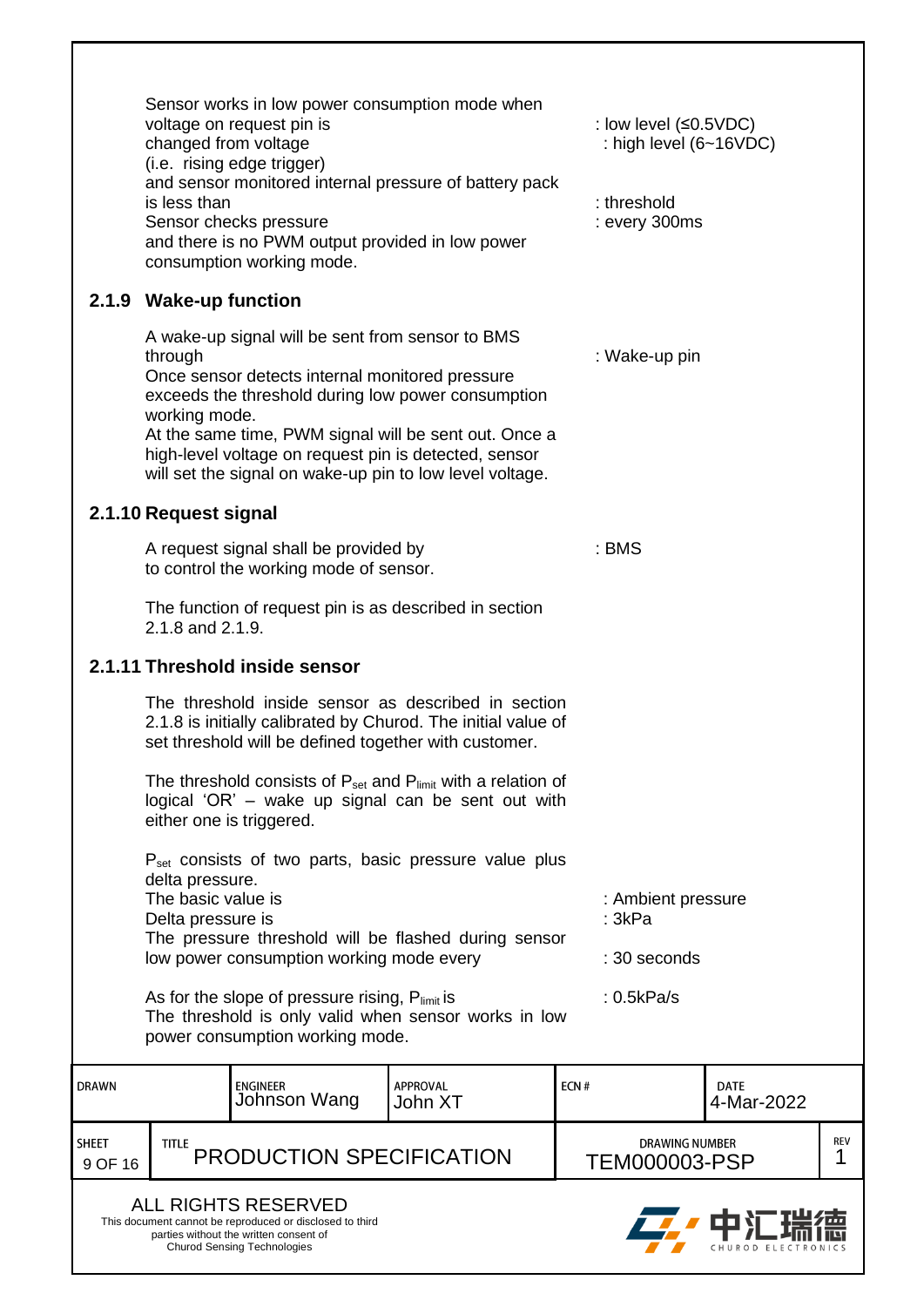<span id="page-8-2"></span><span id="page-8-1"></span><span id="page-8-0"></span>

|                  | Sensor works in low power consumption mode when<br>voltage on request pin is<br>: low level (≤0.5VDC)<br>: high level (6~16VDC)<br>changed from voltage<br>(i.e. rising edge trigger)<br>and sensor monitored internal pressure of battery pack<br>is less than<br>: threshold<br>Sensor checks pressure<br>: every 300ms<br>and there is no PWM output provided in low power<br>consumption working mode.<br>2.1.9 Wake-up function |                                                                                                                                                                        |                                                                                                                              |      |                                               |                           |          |
|------------------|--------------------------------------------------------------------------------------------------------------------------------------------------------------------------------------------------------------------------------------------------------------------------------------------------------------------------------------------------------------------------------------------------------------------------------------|------------------------------------------------------------------------------------------------------------------------------------------------------------------------|------------------------------------------------------------------------------------------------------------------------------|------|-----------------------------------------------|---------------------------|----------|
|                  |                                                                                                                                                                                                                                                                                                                                                                                                                                      |                                                                                                                                                                        |                                                                                                                              |      |                                               |                           |          |
|                  | through<br>working mode.                                                                                                                                                                                                                                                                                                                                                                                                             | A wake-up signal will be sent from sensor to BMS<br>Once sensor detects internal monitored pressure<br>exceeds the threshold during low power consumption              |                                                                                                                              |      | : Wake-up pin                                 |                           |          |
|                  | At the same time, PWM signal will be sent out. Once a<br>high-level voltage on request pin is detected, sensor<br>will set the signal on wake-up pin to low level voltage.                                                                                                                                                                                                                                                           |                                                                                                                                                                        |                                                                                                                              |      |                                               |                           |          |
|                  | 2.1.10 Request signal                                                                                                                                                                                                                                                                                                                                                                                                                |                                                                                                                                                                        |                                                                                                                              |      |                                               |                           |          |
|                  |                                                                                                                                                                                                                                                                                                                                                                                                                                      | A request signal shall be provided by<br>to control the working mode of sensor.                                                                                        |                                                                                                                              |      | : BMS                                         |                           |          |
|                  | 2.1.8 and 2.1.9.                                                                                                                                                                                                                                                                                                                                                                                                                     | The function of request pin is as described in section                                                                                                                 |                                                                                                                              |      |                                               |                           |          |
|                  |                                                                                                                                                                                                                                                                                                                                                                                                                                      | 2.1.11 Threshold inside sensor                                                                                                                                         |                                                                                                                              |      |                                               |                           |          |
|                  |                                                                                                                                                                                                                                                                                                                                                                                                                                      | set threshold will be defined together with customer.                                                                                                                  | The threshold inside sensor as described in section<br>2.1.8 is initially calibrated by Churod. The initial value of         |      |                                               |                           |          |
|                  |                                                                                                                                                                                                                                                                                                                                                                                                                                      | either one is triggered.                                                                                                                                               | The threshold consists of $P_{set}$ and $P_{limit}$ with a relation of<br>logical 'OR' – wake up signal can be sent out with |      |                                               |                           |          |
|                  |                                                                                                                                                                                                                                                                                                                                                                                                                                      |                                                                                                                                                                        | P <sub>set</sub> consists of two parts, basic pressure value plus                                                            |      |                                               |                           |          |
|                  | delta pressure.<br>The basic value is<br>Delta pressure is                                                                                                                                                                                                                                                                                                                                                                           |                                                                                                                                                                        |                                                                                                                              |      | : Ambient pressure<br>: 3kPa                  |                           |          |
|                  |                                                                                                                                                                                                                                                                                                                                                                                                                                      |                                                                                                                                                                        | The pressure threshold will be flashed during sensor                                                                         |      |                                               |                           |          |
|                  | : 30 seconds<br>low power consumption working mode every<br>As for the slope of pressure rising, Plimit is<br>: 0.5kPa/s<br>The threshold is only valid when sensor works in low<br>power consumption working mode.                                                                                                                                                                                                                  |                                                                                                                                                                        |                                                                                                                              |      |                                               |                           |          |
| <b>DRAWN</b>     |                                                                                                                                                                                                                                                                                                                                                                                                                                      | <b>ENGINEER</b><br>Johnson Wang                                                                                                                                        | <b>APPROVAL</b><br>John XT                                                                                                   | ECN# |                                               | <b>DATE</b><br>4-Mar-2022 |          |
| SHEET<br>9 OF 16 | <b>TITLE</b>                                                                                                                                                                                                                                                                                                                                                                                                                         | PRODUCTION SPECIFICATION                                                                                                                                               |                                                                                                                              |      | <b>DRAWING NUMBER</b><br><b>TEM000003-PSP</b> |                           | REV<br>1 |
|                  |                                                                                                                                                                                                                                                                                                                                                                                                                                      | <b>ALL RIGHTS RESERVED</b><br>This document cannot be reproduced or disclosed to third<br>parties without the written consent of<br><b>Churod Sensing Technologies</b> |                                                                                                                              |      |                                               |                           |          |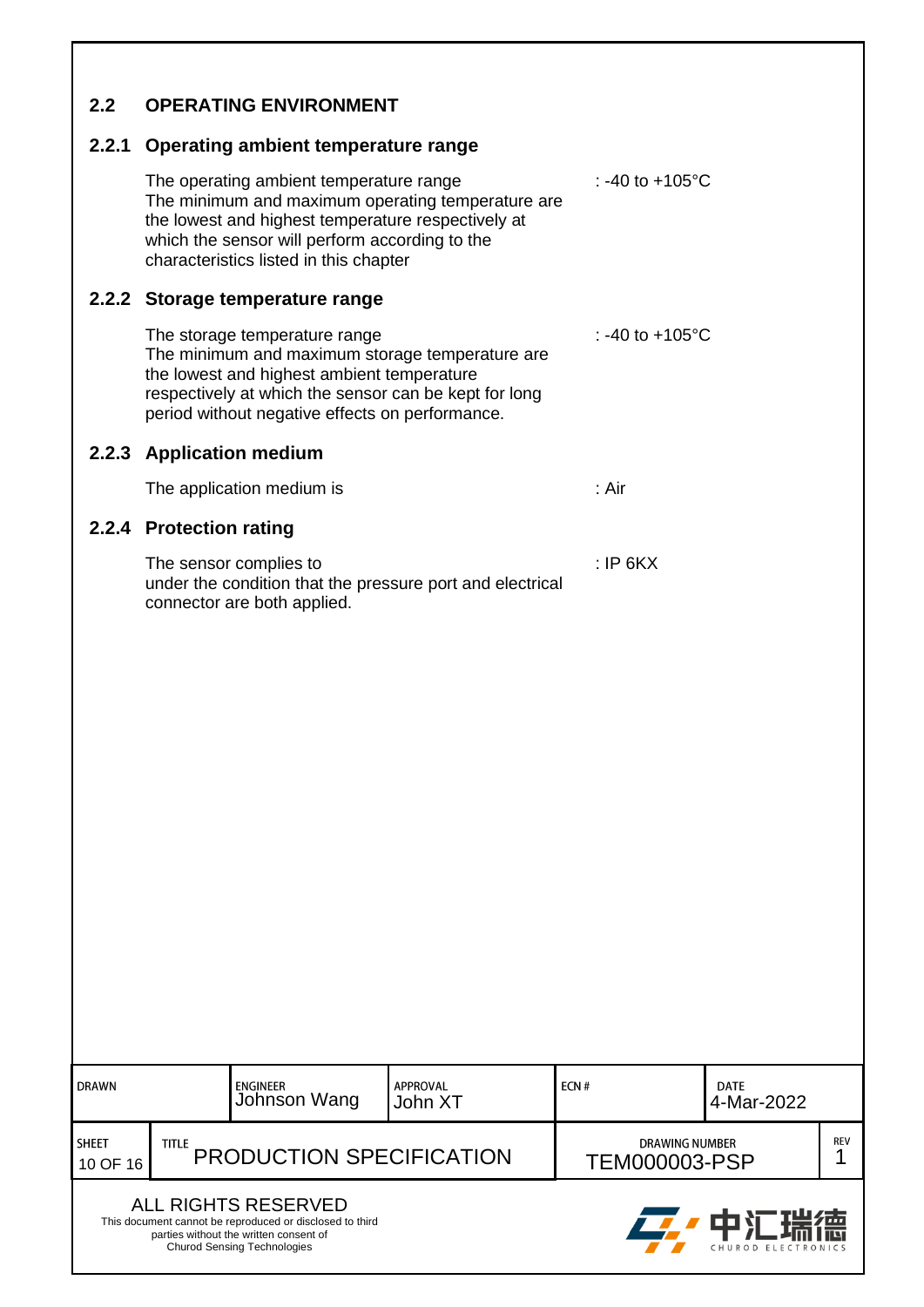<span id="page-9-4"></span><span id="page-9-3"></span><span id="page-9-2"></span><span id="page-9-1"></span><span id="page-9-0"></span>

|              | 2.2.1 Operating ambient temperature range                                                                                           |              |                                                                                                          |            |                           |  |
|--------------|-------------------------------------------------------------------------------------------------------------------------------------|--------------|----------------------------------------------------------------------------------------------------------|------------|---------------------------|--|
|              | The operating ambient temperature range<br>which the sensor will perform according to the<br>characteristics listed in this chapter |              | The minimum and maximum operating temperature are<br>the lowest and highest temperature respectively at  |            | : -40 to $+105^{\circ}$ C |  |
|              | 2.2.2 Storage temperature range                                                                                                     |              |                                                                                                          |            |                           |  |
|              | The storage temperature range<br>the lowest and highest ambient temperature<br>period without negative effects on performance.      |              | The minimum and maximum storage temperature are<br>respectively at which the sensor can be kept for long |            | : -40 to $+105^{\circ}$ C |  |
|              | 2.2.3 Application medium                                                                                                            |              |                                                                                                          |            |                           |  |
|              | The application medium is                                                                                                           |              |                                                                                                          | : Air      |                           |  |
|              | 2.2.4 Protection rating                                                                                                             |              |                                                                                                          |            |                           |  |
|              | The sensor complies to<br>connector are both applied.                                                                               |              | under the condition that the pressure port and electrical                                                | $:$ IP 6KX |                           |  |
| <b>DRAWN</b> | <b>ENGINEER</b>                                                                                                                     | Johnson Wang | <b>APPROVAL</b><br>John XT                                                                               | ECN#       | <b>DATE</b><br>4-Mar-2022 |  |
|              |                                                                                                                                     |              |                                                                                                          |            |                           |  |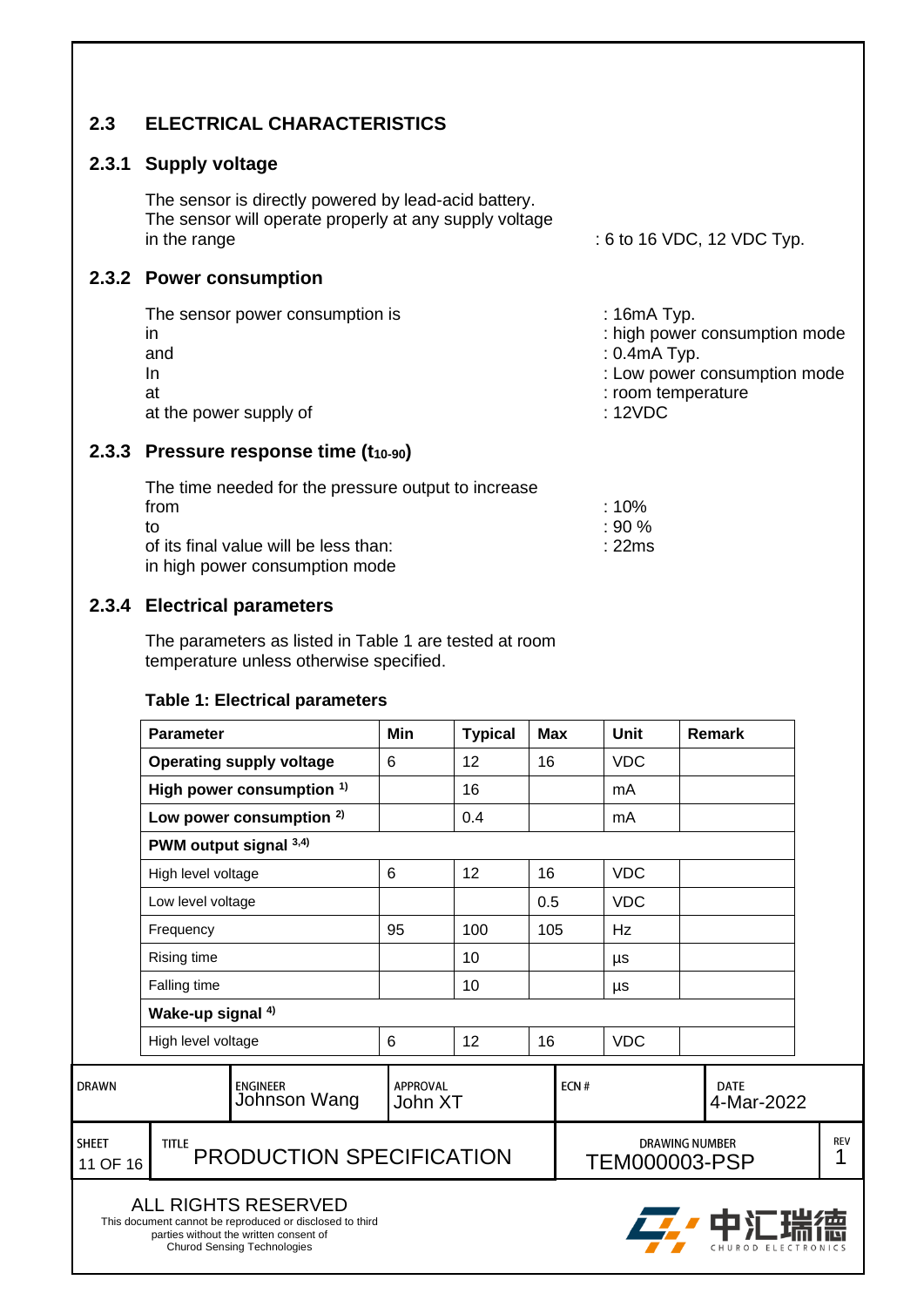#### <span id="page-10-0"></span>**2.3 ELECTRICAL CHARACTERISTICS**

#### <span id="page-10-1"></span>**2.3.1 Supply voltage**

The sensor is directly powered by lead-acid battery. The sensor will operate properly at any supply voltage in the range  $\qquad \qquad$  : 6 to 16 VDC, 12 VDC Typ.

#### <span id="page-10-2"></span>**2.3.2 Power consumption**

| The sensor power consumption is<br>in | $: 16mA$ Typ.<br>: high power consumption mode |
|---------------------------------------|------------------------------------------------|
| and                                   | $: 0.4$ m $A$ Typ.                             |
| In                                    | : Low power consumption mode                   |
| at                                    | : room temperature                             |
| at the power supply of                | :12VDC                                         |

#### <span id="page-10-3"></span>**2.3.3 Pressure response time (t10-90)**

| The time needed for the pressure output to increase |                   |
|-----------------------------------------------------|-------------------|
| from                                                | $\pm 10\%$        |
| to                                                  | $\cdot$ 90 %      |
| of its final value will be less than:               | $\therefore$ 22ms |
| in high power consumption mode                      |                   |

#### <span id="page-10-4"></span>**2.3.4 Electrical parameters**

The parameters as listed in Table 1 are tested at room temperature unless otherwise specified.

#### **Table 1: Electrical parameters**

|                          | <b>Parameter</b>   |                                                                                                                                                                        | Min                        | <b>Typical</b> | <b>Max</b> |            | Unit                                          |  | <b>Remark</b>             |                 |
|--------------------------|--------------------|------------------------------------------------------------------------------------------------------------------------------------------------------------------------|----------------------------|----------------|------------|------------|-----------------------------------------------|--|---------------------------|-----------------|
|                          |                    | <b>Operating supply voltage</b>                                                                                                                                        | 6                          | 12             | 16         |            | <b>VDC</b>                                    |  |                           |                 |
|                          |                    | High power consumption <sup>1)</sup>                                                                                                                                   |                            | 16             |            |            | mA                                            |  |                           |                 |
|                          |                    | Low power consumption <sup>2)</sup>                                                                                                                                    |                            | 0.4            |            |            | mA                                            |  |                           |                 |
|                          |                    | PWM output signal 3,4)                                                                                                                                                 |                            |                |            |            |                                               |  |                           |                 |
|                          | High level voltage |                                                                                                                                                                        | 6                          | 12             | 16         |            | <b>VDC</b>                                    |  |                           |                 |
|                          | Low level voltage  |                                                                                                                                                                        |                            |                | 0.5        | <b>VDC</b> |                                               |  |                           |                 |
|                          | Frequency          |                                                                                                                                                                        |                            | 100            | 105        |            | Hz                                            |  |                           |                 |
|                          | <b>Rising time</b> |                                                                                                                                                                        |                            | 10             |            |            | μs                                            |  |                           |                 |
|                          | Falling time       |                                                                                                                                                                        |                            | 10             |            |            | μs                                            |  |                           |                 |
|                          | Wake-up signal 4)  |                                                                                                                                                                        |                            |                |            |            |                                               |  |                           |                 |
|                          | High level voltage |                                                                                                                                                                        | 6                          | 12             | 16         |            | <b>VDC</b>                                    |  |                           |                 |
| <b>DRAWN</b>             |                    | <b>ENGINEER</b><br>Johnson Wang                                                                                                                                        | <b>APPROVAL</b><br>John XT |                |            | ECN#       |                                               |  | <b>DATE</b><br>4-Mar-2022 |                 |
| <b>SHEET</b><br>11 OF 16 | <b>TITLE</b>       | PRODUCTION SPECIFICATION                                                                                                                                               |                            |                |            |            | <b>DRAWING NUMBER</b><br><b>TEM000003-PSP</b> |  |                           | <b>REV</b><br>1 |
|                          |                    | <b>ALL RIGHTS RESERVED</b><br>This document cannot be reproduced or disclosed to third<br>parties without the written consent of<br><b>Churod Sensing Technologies</b> |                            |                |            |            |                                               |  | CHUROD ELECTRONICS        |                 |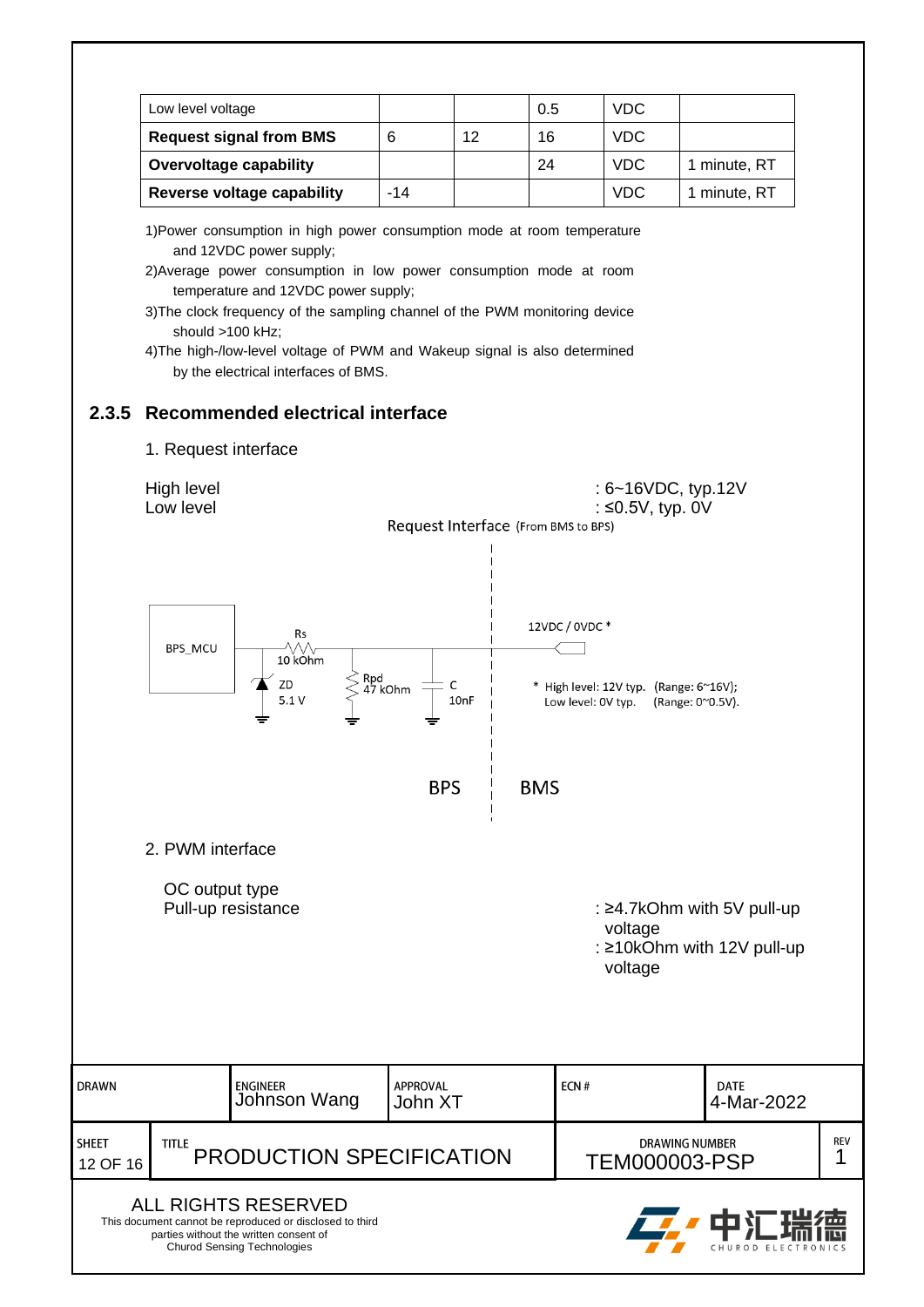|  | Low level voltage              |       |    | 0.5 | <b>VDC</b> |              |
|--|--------------------------------|-------|----|-----|------------|--------------|
|  | <b>Request signal from BMS</b> |       | 12 | 16  | <b>VDC</b> |              |
|  | <b>Overvoltage capability</b>  |       |    | 24  | VDC.       | 1 minute, RT |
|  | Reverse voltage capability     | $-14$ |    |     | <b>VDC</b> | 1 minute, RT |

1)Power consumption in high power consumption mode at room temperature and 12VDC power supply;

- 2)Average power consumption in low power consumption mode at room temperature and 12VDC power supply;
- 3)The clock frequency of the sampling channel of the PWM monitoring device should >100 kHz;
- 4)The high-/low-level voltage of PWM and Wakeup signal is also determined by the electrical interfaces of BMS.

#### <span id="page-11-0"></span>**2.3.5 Recommended electrical interface**

1. Request interface

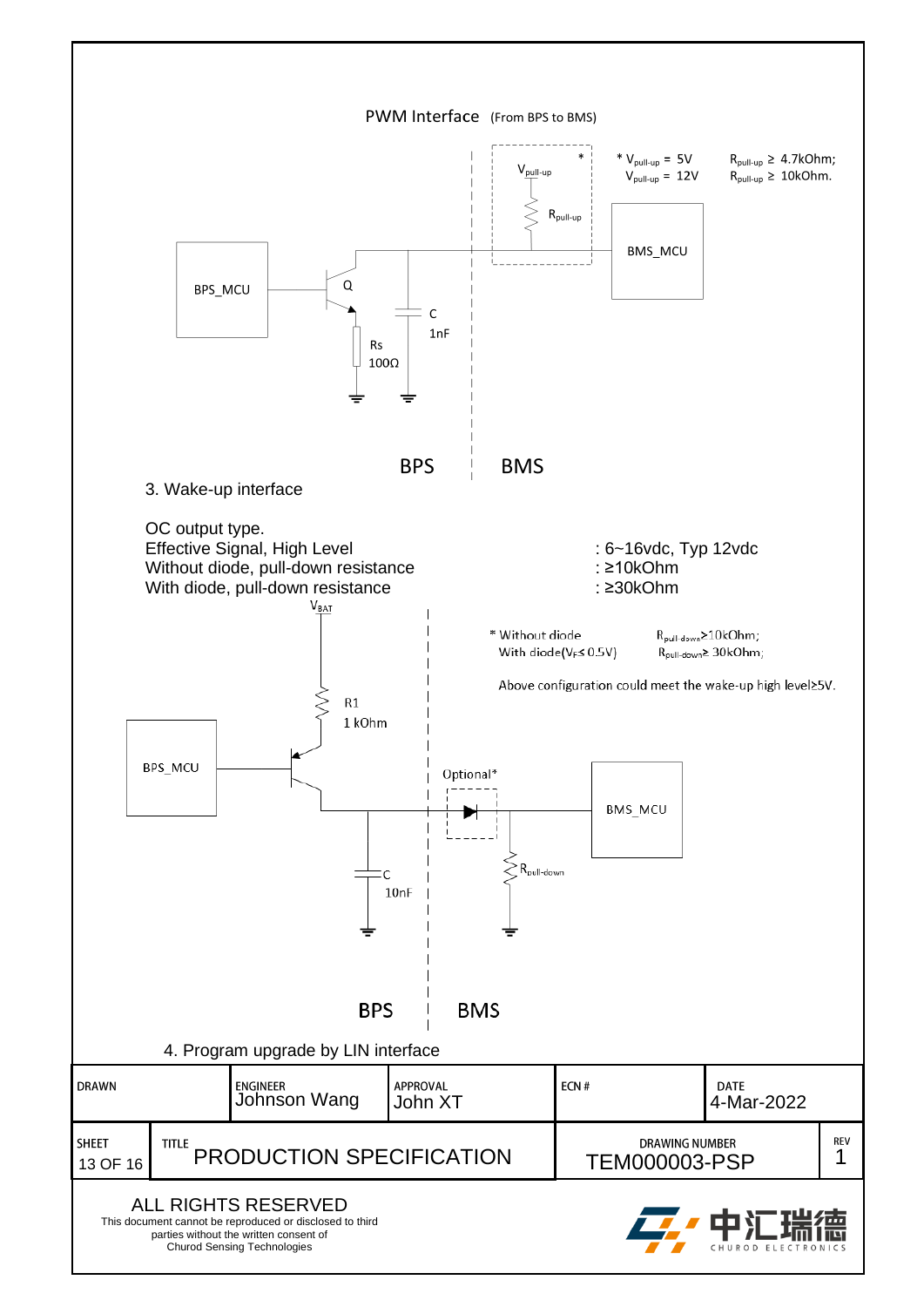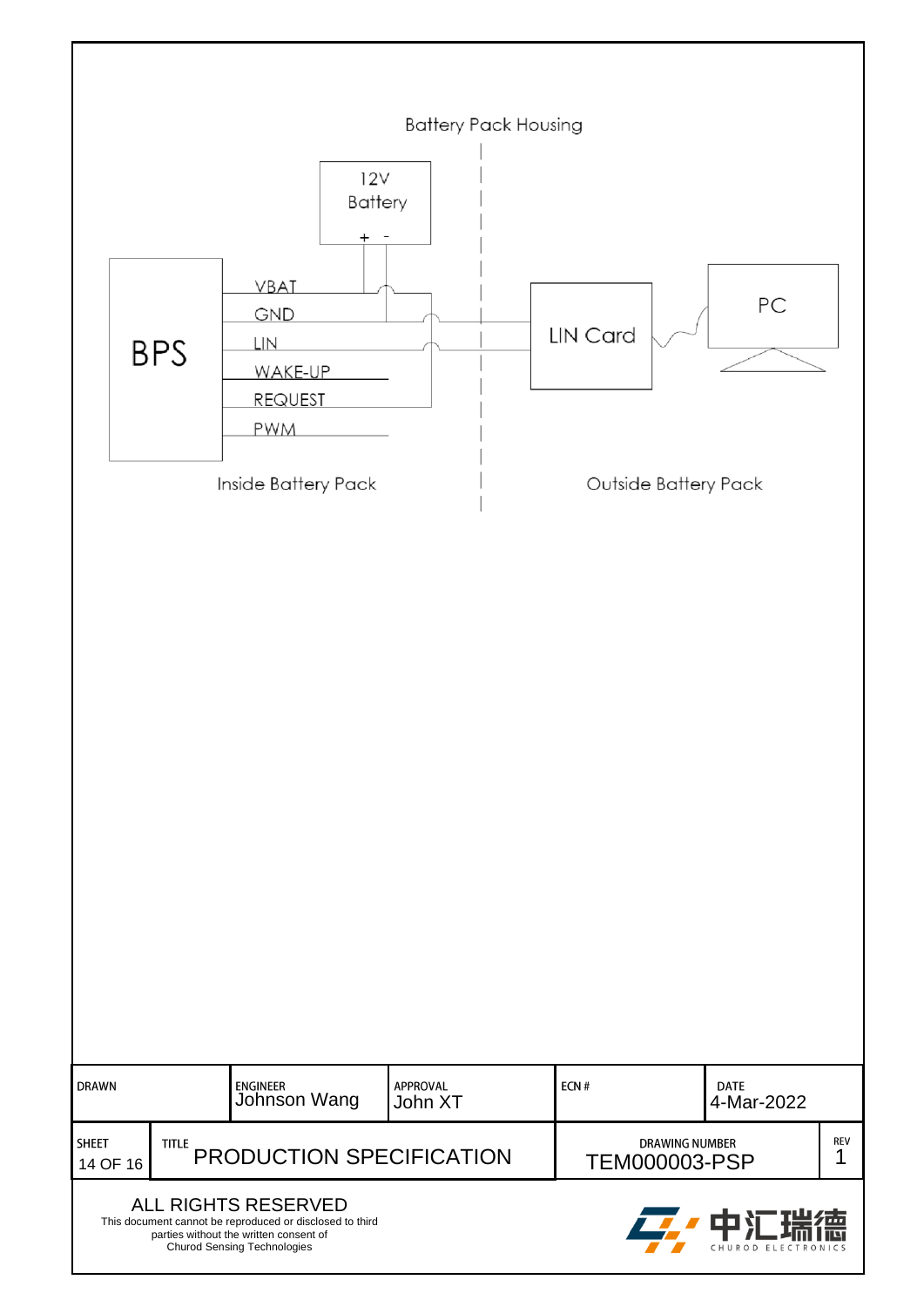|                                                                                                                                                                                  | <b>Battery Pack Housing</b> |                                                               |                     |                                               |                           |          |  |  |  |
|----------------------------------------------------------------------------------------------------------------------------------------------------------------------------------|-----------------------------|---------------------------------------------------------------|---------------------|-----------------------------------------------|---------------------------|----------|--|--|--|
|                                                                                                                                                                                  |                             | 12V<br>Battery<br>$\pm$                                       |                     |                                               |                           |          |  |  |  |
|                                                                                                                                                                                  | <b>BPS</b>                  | VBAT<br>GND<br>LIN<br>WAKE-UP<br><b>REQUEST</b><br><b>PWM</b> |                     | <b>LIN Card</b>                               | PC                        |          |  |  |  |
|                                                                                                                                                                                  | Inside Battery Pack         |                                                               |                     |                                               | Outside Battery Pack      |          |  |  |  |
|                                                                                                                                                                                  |                             |                                                               |                     |                                               |                           |          |  |  |  |
| <b>DRAWN</b>                                                                                                                                                                     |                             | ENGINEER<br>Johnson Wang                                      | APPROVAL<br>John XT | ECN#                                          | <b>DATE</b><br>4-Mar-2022 |          |  |  |  |
| <b>SHEET</b><br>14 OF 16                                                                                                                                                         | <b>TITLE</b>                | PRODUCTION SPECIFICATION                                      |                     | <b>DRAWING NUMBER</b><br><b>TEM000003-PSP</b> |                           | REV<br>1 |  |  |  |
| ALL RIGHTS RESERVED<br>ш<br>This document cannot be reproduced or disclosed to third<br>parties without the written consent of<br>Churod Sensing Technologies<br>CHUROD ELECTRON |                             |                                                               |                     |                                               |                           |          |  |  |  |

ľ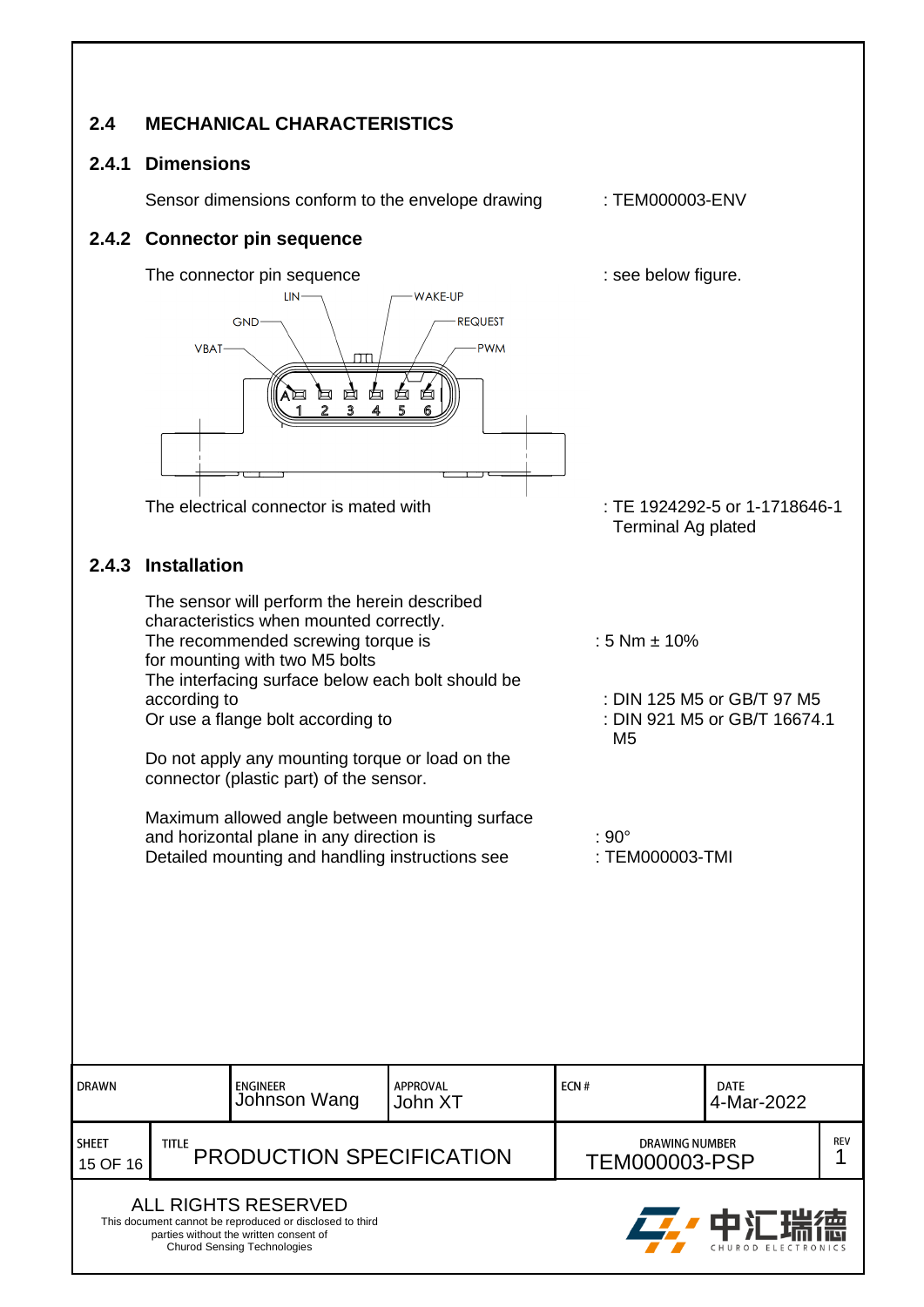#### <span id="page-14-0"></span>**2.4 MECHANICAL CHARACTERISTICS**

#### <span id="page-14-1"></span>**2.4.1 Dimensions**

Sensor dimensions conform to the envelope drawing : TEM000003-ENV

<span id="page-14-3"></span><span id="page-14-2"></span>